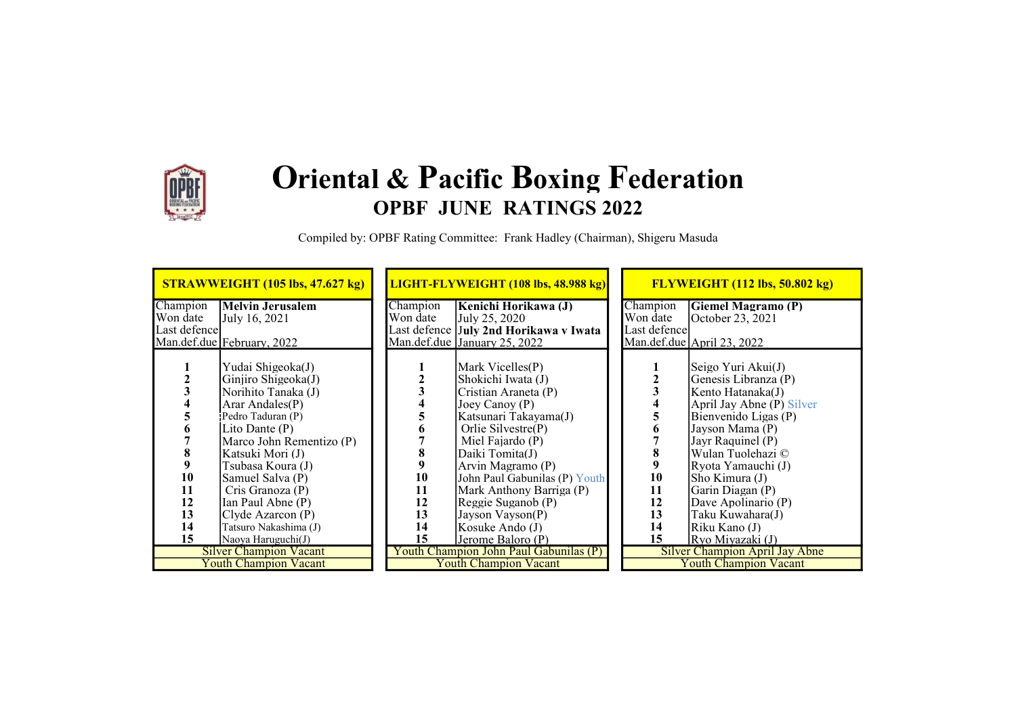

## Oriental & Pacific Boxing Federation OPBF JUNE RATINGS 2022

Compiled by: OPBF Rating Committee: Frank Hadley (Chairman), Shigeru Masuda

|               | STRAWWEIGHT (105 lbs, 47.627 kg) |          | LIGHT-FLYWEIGHT (108 lbs, 48.988 kg)   |               | <b>FLYWEIGHT (112 lbs, 50.802 kg)</b> |
|---------------|----------------------------------|----------|----------------------------------------|---------------|---------------------------------------|
| Champion      | <b>Melvin Jerusalem</b>          | Champion | Kenichi Horikawa (J)                   | Champion      | <b>Giemel Magramo</b> (P)             |
| Won date      | July 16, 2021                    | Won date | July 25, 2020                          | Won date      | October 23, 2021                      |
| Last defencel |                                  |          | Last defence July 2nd Horikawa v Iwata | Last defencel |                                       |
|               | Man.def.due February, 2022       |          | Man.def.due January 25, 2022           |               | Man.def.due April 23, 2022            |
|               |                                  |          |                                        |               |                                       |
|               | Yudai Shigeoka(J)                |          | Mark Vicelles(P)                       |               | Seigo Yuri Akui $(J)$                 |
|               | Ginjiro Shigeoka $(J)$           |          | Shokichi Iwata (J)                     |               | Genesis Libranza (P)                  |
|               | Norihito Tanaka (J)              |          | Cristian Araneta (P)                   |               | Kento Hatanaka(J)                     |
|               | Arar Andales(P)                  |          | Joey Canoy $(P)$                       |               | April Jay Abne (P) Silver             |
|               | Pedro Taduran (P)                |          | Katsunari Takayama(J)                  |               | Bienvenido Ligas (P)                  |
|               | Lito Dante (P)                   |          | Orlie Silvestre(P)                     |               | Javson Mama (P)                       |
|               | Marco John Rementizo (P)         |          | Miel Fajardo (P)                       |               | Jayr Raquinel (P)                     |
| 8             | Katsuki Mori (J)                 | 8        | Daiki Tomita(J)                        |               | Wulan Tuolehazi ©                     |
|               | Tsubasa Koura (J)                |          | Arvin Magramo (P)                      | 9             | Ryota Yamauchi (J)                    |
| 10            | Samuel Salva (P)                 | 10       | John Paul Gabunilas (P) Youth          | 10            | Sho Kimura (J)                        |
| 11            | Cris Granoza (P)                 | 11       | Mark Anthony Barriga (P)               | 11            | Garin Diagan (P)                      |
| 12            | Ian Paul Abne (P)                | 12       | Reggie Suganob (P)                     | 12            | Dave Apolinario (P)                   |
| 13            | Clyde Azarcon(P)                 | 13       | Jayson Vayson(P)                       | 13            | Taku Kuwahara(J)                      |
| 14            | Tatsuro Nakashima (J)            | 14       | Kosuke Ando (J)                        | 14            | Riku Kano (J)                         |
| 15            | Naoya Haruguchi(J)               | 15       | Jerome Baloro (P)                      | 15            | Ryo Miyazaki (J)                      |
|               | <b>Silver Champion Vacant</b>    |          | Youth Champion John Paul Gabunilas (P) |               | Silver Champion April Jay Abne        |
|               | <b>Youth Champion Vacant</b>     |          | <b>Youth Champion Vacant</b>           |               | <b>Youth Champion Vacant</b>          |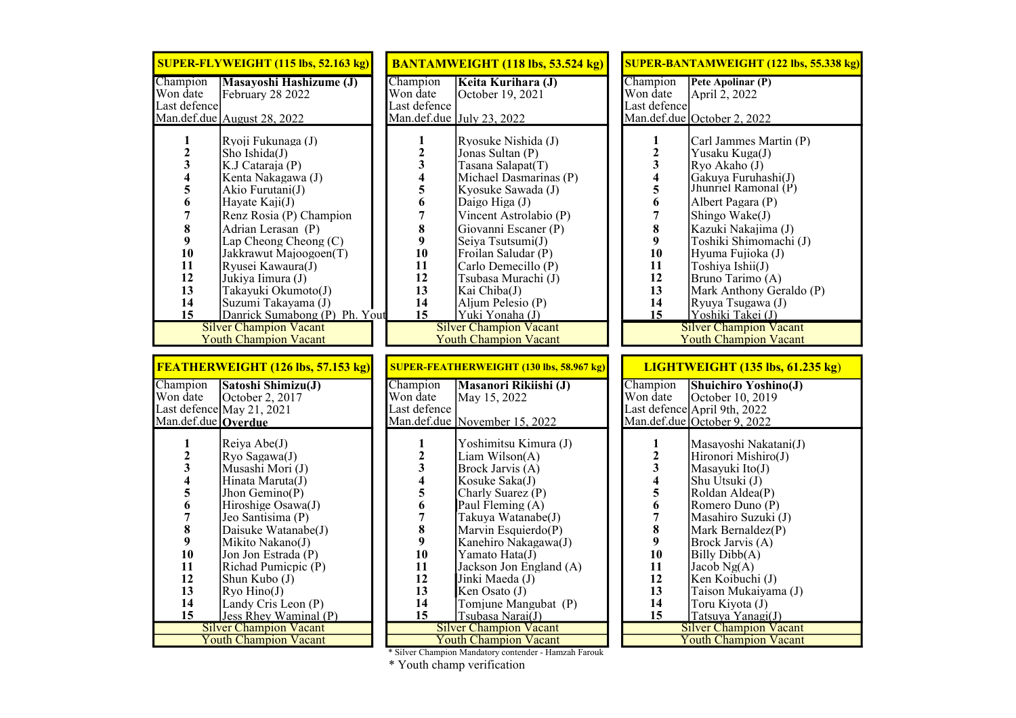|                                                                                                                                                   | SUPER-FLYWEIGHT (115 lbs, 52.163 kg)                                                                                                                                                                                                                                                                                                                                                                                |                                                                                                                                                                         | <b>BANTAMWEIGHT (118 lbs, 53.524 kg)</b>                                                                                                                                                                                                                                                                                                                                                            |  |                                                                                                                                        | <b>SUPER-BANTAMWEIGHT (122 lbs, 55.338 kg)</b>                                                                                                                                                                                                                                                                                                                                                         |  |
|---------------------------------------------------------------------------------------------------------------------------------------------------|---------------------------------------------------------------------------------------------------------------------------------------------------------------------------------------------------------------------------------------------------------------------------------------------------------------------------------------------------------------------------------------------------------------------|-------------------------------------------------------------------------------------------------------------------------------------------------------------------------|-----------------------------------------------------------------------------------------------------------------------------------------------------------------------------------------------------------------------------------------------------------------------------------------------------------------------------------------------------------------------------------------------------|--|----------------------------------------------------------------------------------------------------------------------------------------|--------------------------------------------------------------------------------------------------------------------------------------------------------------------------------------------------------------------------------------------------------------------------------------------------------------------------------------------------------------------------------------------------------|--|
| Champion<br>Won date<br>Last defence                                                                                                              | <b>Masayoshi Hashizume (J)</b><br>February 28 2022<br>Man.def.due August 28, 2022                                                                                                                                                                                                                                                                                                                                   | Champion<br>Won date<br>Last defence                                                                                                                                    | Keita Kurihara (J)<br>October 19, 2021<br>Man.def.due $\vert$ July 23, 2022                                                                                                                                                                                                                                                                                                                         |  | Champion<br>Won date<br>Last defence                                                                                                   | Pete Apolinar (P)<br>April 2, 2022<br>Man.def.due October 2, 2022                                                                                                                                                                                                                                                                                                                                      |  |
| $\mathbf{1}$<br>$\frac{2}{3}$<br>$\overline{\mathbf{4}}$<br>5<br>6<br>$\overline{7}$<br>8<br>9<br>10<br>11<br>12<br>13<br>14<br>15                | Ryoji Fukunaga (J)<br>Sho Ishida(J)<br>K.J Cataraja (P)<br>Kenta Nakagawa (J)<br>Akio Furutani(J)<br>Hayate Kaji(J)<br>Renz Rosia (P) Champion<br>Adrian Lerasan (P)<br>Lap Cheong Cheong $(C)$<br>Jakkrawut Majoogoen(T)<br>Ryusei Kawaura(J)<br>Jukiya Iimura (J)<br>Takayuki Okumoto(J)<br>Suzumi Takayama (J)<br>Danrick Sumabong (P) Ph. Yout<br><b>Silver Champion Vacant</b><br><b>Youth Champion Vacant</b> | $\mathbf{1}$<br>$\overline{\mathbf{c}}$<br>$\overline{\mathbf{3}}$<br>$\overline{\mathbf{4}}$<br>5<br>6<br>$\overline{7}$<br>8<br>9<br>10<br>11<br>12<br>13<br>14<br>15 | Ryosuke Nishida (J)<br>Jonas Sultan (P)<br>Tasana Salapat(T)<br>Michael Dasmarinas (P)<br>Kyosuke Sawada (J)<br>Daigo Higa (J)<br>Vincent Astrolabio (P)<br>Giovanni Escaner (P)<br>Seiya Tsutsumi(J)<br>Froilan Saludar (P)<br>Carlo Demecillo (P)<br>Tsubasa Murachi (J)<br>Kai Chiba(J)<br>Aljum Pelesio (P)<br>Yuki Yonaha (J)<br><b>Silver Champion Vacant</b><br><b>Youth Champion Vacant</b> |  | $\mathbf{1}$<br>$\overline{2}$<br>3<br>4<br>5<br>6<br>$\overline{7}$<br>8<br>9<br>10<br>11<br>12<br>13<br>14<br>15                     | Carl Jammes Martin (P)<br>Yusaku Kuga(J)<br>Ryo Akaho (J)<br>Gakuya Furuhashi(J)<br>Jhunriel Ramonal $(P)$<br>Albert Pagara (P)<br>Shingo Wake(J)<br>Kazuki Nakajima (J)<br>Toshiki Shimomachi (J)<br>Hyuma Fujioka (J)<br>Toshiya Ishii(J)<br>Bruno Tarimo (A)<br>Mark Anthony Geraldo (P)<br>Ryuya Tsugawa (J)<br>Yoshiki Takei (J)<br><b>Silver Champion Vacant</b><br><b>Youth Champion Vacant</b> |  |
| FEATHERWEIGHT (126 lbs, 57.153 kg)                                                                                                                |                                                                                                                                                                                                                                                                                                                                                                                                                     | <b>SUPER-FEATHERWEIGHT (130 lbs, 58.967 kg)</b>                                                                                                                         |                                                                                                                                                                                                                                                                                                                                                                                                     |  | <b>LIGHTWEIGHT (135 lbs, 61.235 kg)</b>                                                                                                |                                                                                                                                                                                                                                                                                                                                                                                                        |  |
|                                                                                                                                                   |                                                                                                                                                                                                                                                                                                                                                                                                                     |                                                                                                                                                                         |                                                                                                                                                                                                                                                                                                                                                                                                     |  |                                                                                                                                        |                                                                                                                                                                                                                                                                                                                                                                                                        |  |
| Champion<br>Won date<br>Man.def.due Overdue                                                                                                       | Satoshi Shimizu(J)<br>October 2, 2017<br>Last defence May 21, 2021                                                                                                                                                                                                                                                                                                                                                  | Champion<br>Won date<br>Last defence                                                                                                                                    | Masanori Rikiishi (J)<br>May 15, 2022<br>Man.def.due November 15, 2022                                                                                                                                                                                                                                                                                                                              |  | Champion<br>Won date                                                                                                                   | <b>Shuichiro Yoshino(J)</b><br>October 10, 2019<br>Last defence April 9th, 2022<br>Man.def.due October 9, 2022                                                                                                                                                                                                                                                                                         |  |
| $\mathbf{1}$<br>$\overline{\mathbf{c}}$<br>$\overline{\mathbf{3}}$<br>4<br>5<br>6<br>$\overline{7}$<br>8<br>9<br>10<br>11<br>12<br>13<br>14<br>15 | Reiya Abe(J)<br>Ryo Sagawa(J)<br>Musashi Mori (J)<br>Hinata Maruta(J)<br>Jhon Gemino(P)<br>Hiroshige Osawa(J)<br>Jeo Santisima (P)<br>Daisuke Watanabe(J)<br>Mikito Nakano(J)<br>Jon Jon Estrada (P)<br>Richad Pumicpic (P)<br>Shun Kubo (J)<br>Ryo Hino(J)<br>Landy Cris Leon (P)<br>Jess Rhey Waminal (P)<br><b>Silver Champion Vacant</b><br><b>Youth Champion Vacant</b>                                        | $\mathbf{1}$<br>$\mathbf{2}$<br>$\overline{\mathbf{3}}$<br>$\overline{\mathbf{4}}$<br>$\frac{5}{6}$<br>$\overline{7}$<br>8<br>9<br>10<br>11<br>12<br>13<br>14<br>15     | Yoshimitsu Kimura (J)<br>Liam Wilson(A)<br>Brock Jarvis (A)<br>Kosuke Saka(J)<br>Charly Suarez (P)<br>Paul Fleming (A)<br>Takuya Watanabe(J)<br>Marvin Esquierdo(P)<br>Kanehiro Nakagawa(J)<br>Yamato Hata(J)<br>Jackson Jon England (A)<br>Jinki Maeda (J)<br>Ken Osato (J)<br>Tomjune Mangubat (P)<br>Tsubasa Narai(J)<br><b>Silver Champion Vacant</b><br><b>Youth Champion Vacant</b>           |  | 1<br>$\overline{\mathbf{c}}$<br>$\overline{\mathbf{3}}$<br>4<br>5<br>6<br>$\overline{7}$<br>8<br>9<br>10<br>11<br>12<br>13<br>14<br>15 | Masayoshi Nakatani(J)<br>Hironori Mishiro(J)<br>Masayuki Ito(J)<br>Shu Utsuki (J)<br>Roldan Aldea(P)<br>Romero Duno (P)<br>Masahiro Suzuki (J)<br>Mark Bernaldez(P)<br>Brock Jarvis (A)<br>Billy Dibb(A)<br>Jacob $Ng(A)$<br>Ken Koibuchi (J)<br>Taison Mukaiyama (J)<br>Toru Kiyota (J)<br>Tatsuya Yanagi(J)<br><b>Silver Champion Vacant</b><br><b>Youth Champion Vacant</b>                         |  |

\* Silver Champion Mandatory contender - Hamzah Farouk

\* Youth champ verification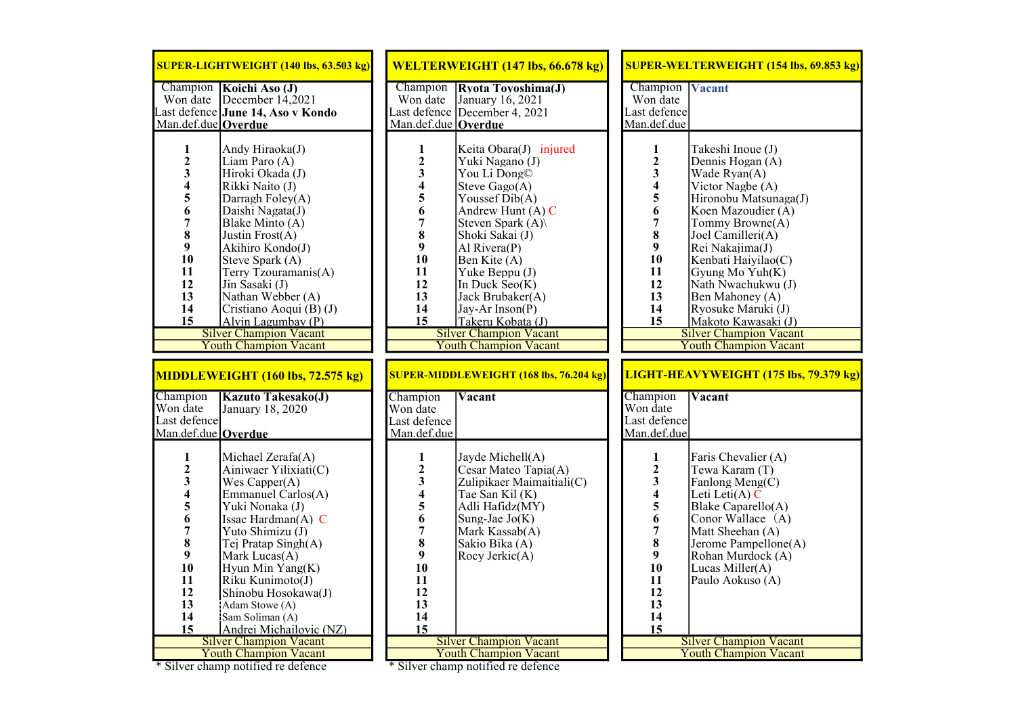| SUPER-LIGHTWEIGHT (140 lbs, 63.503 kg)                                                                                                                                                                                                                                                                                                                                                                                                                                                                                       | WELTERWEIGHT (147 lbs, 66.678 kg)                                                                                                                                                                                                                                                                                                                                                                                                                                                                                                | <b>SUPER-WELTERWEIGHT (154 lbs, 69.853 kg)</b>                                                                                                                                                                                                                                                                                                                                                                                                                                                                               |
|------------------------------------------------------------------------------------------------------------------------------------------------------------------------------------------------------------------------------------------------------------------------------------------------------------------------------------------------------------------------------------------------------------------------------------------------------------------------------------------------------------------------------|----------------------------------------------------------------------------------------------------------------------------------------------------------------------------------------------------------------------------------------------------------------------------------------------------------------------------------------------------------------------------------------------------------------------------------------------------------------------------------------------------------------------------------|------------------------------------------------------------------------------------------------------------------------------------------------------------------------------------------------------------------------------------------------------------------------------------------------------------------------------------------------------------------------------------------------------------------------------------------------------------------------------------------------------------------------------|
| Champion Koichi Aso (J)<br>Won date December 14,2021<br>Last defence June 14, Aso v Kondo<br>Man.def.due Overdue                                                                                                                                                                                                                                                                                                                                                                                                             | Rxota Toyoshima(J)<br>Champion<br>Won date<br>January 16, 2021<br>Last defence December 4, 2021<br>Man.def.due   Overdue                                                                                                                                                                                                                                                                                                                                                                                                         | Champion<br><b>Vacant</b><br>Won date<br>Last defence<br>Man.def.due                                                                                                                                                                                                                                                                                                                                                                                                                                                         |
| $\mathbf{1}$<br>Andy Hiraoka(J)<br>$\begin{array}{c} 2 \\ 3 \\ 4 \end{array}$<br>Liam Paro (A)<br>Hiroki Okada (J)<br>Rikki Naito (J)<br>$\frac{5}{6}$<br>Darragh Foley(A)<br>Daishi Nagata(J)<br>$\overline{7}$<br>Blake Minto (A)<br>8<br>Justin Frost(A)<br>9<br>Akihiro Kondo(J)<br>10<br>Steve Spark (A)<br>11<br>Terry Tzouramanis(A)<br>12<br>Jin Sasaki (J)<br>13<br>Nathan Webber (A)<br>14<br>Cristiano Aoqui (B) (J)<br>15<br>Alvin Lagumbay (P)<br><b>Silver Champion Vacant</b><br><b>Youth Champion Vacant</b> | $\mathbf{1}$<br>Keita Obara(J) injured<br>$\begin{array}{c} 2 \\ 3 \\ 4 \end{array}$<br>Yuki Nagano (J)<br>You Li Dong©<br>Steve $Gago(A)$<br>$\frac{5}{6}$ $\frac{6}{7}$ $\frac{7}{8}$<br>Youssef Dib(A)<br>Andrew Hunt $(A)$ C<br>Steven Spark (A)<br>Shoki Sakai (J)<br>$\boldsymbol{9}$<br>Al Rivera(P)<br>10<br>Ben Kite (A)<br>11<br>Yuke Beppu (J)<br>12<br>In Duck Seo(K)<br>13<br>Jack Brubaker(A)<br>14<br>Jay-Ar Inson(P)<br>15<br>Takeru Kobata (J)<br><b>Silver Champion Vacant</b><br><b>Youth Champion Vacant</b> | $\mathbf{1}$<br>Takeshi Inoue (J)<br>$\begin{array}{c} 2 \\ 3 \\ 4 \end{array}$<br>Dennis Hogan (A)<br>Wade Ryan(A)<br>Victor Nagbe (A)<br>5<br>Hironobu Matsunaga(J)<br>6<br>Koen Mazoudier (A)<br>$\overline{7}$<br>Tommy Browne(A)<br>8<br>Joel Camilleri(A)<br>9<br>Rei Nakajima(J)<br>10<br>Kenbati Haiyilao(C)<br>11<br>Gyung Mo Yuh(K)<br>12<br>Nath Nwachukwu (J)<br>13<br>Ben Mahoney (A)<br>14<br>Ryosuke Maruki (J)<br>15<br>Makoto Kawasaki (J)<br><b>Silver Champion Vacant</b><br><b>Youth Champion Vacant</b> |
| MIDDLEWEIGHT (160 lbs, 72.575 kg)                                                                                                                                                                                                                                                                                                                                                                                                                                                                                            | <b>SUPER-MIDDLEWEIGHT (168 lbs, 76.204 kg)</b>                                                                                                                                                                                                                                                                                                                                                                                                                                                                                   | LIGHT-HEAVYWEIGHT (175 lbs, 79.379 kg)                                                                                                                                                                                                                                                                                                                                                                                                                                                                                       |
| Champion<br><b>Kazuto Takesako(J)</b><br>Won date<br>January 18, 2020<br>Last defence<br>Man.def.due Overdue                                                                                                                                                                                                                                                                                                                                                                                                                 | Champion<br>Vacant<br>Won date<br>Last defence<br>Man.def.due                                                                                                                                                                                                                                                                                                                                                                                                                                                                    | Champion<br>Vacant<br>Won date<br>Last defence<br>Man.def.due                                                                                                                                                                                                                                                                                                                                                                                                                                                                |
| $\mathbf{1}$<br>Michael $Zerafa(A)$<br>$\frac{2}{3}$<br>Ainiwaer Yilixiati(C)<br>Wes $Capper(A)$<br>$\frac{4}{5}$<br>Emmanuel Carlos(A)<br>Yuki Nonaka (J)<br>$\overline{6}$<br>Issac Hardman $(A)$ C<br>$\overline{7}$<br>Yuto Shimizu (J)<br>8<br>Tej Pratap Singh(A)<br>9<br>Mark Lucas $(A)$<br>10<br>Hyun Min Yang(K)<br>11<br>Riku Kunimoto(J)<br>12<br>Shinobu Hosokawa(J)                                                                                                                                            | $\mathbf{1}$<br>Jayde Michell(A)<br>23456<br>Cesar Mateo Tapia(A)<br>Zulipikaer Maimaitiali(C)<br>Tae San Kil (K)<br>Adli Hafidz(MY)<br>Sung-Jae $Jo(K)$<br>$\overline{7}$<br>Mark Kassab(A)<br>8<br>Sakio Bika (A)<br>9<br>Rocy Jerkic(A)<br>10<br>11                                                                                                                                                                                                                                                                           | 1<br>Faris Chevalier (A)<br>23456<br>Tewa Karam (T)<br>Fanlong Meng(C)<br>Leti Leti $(A)$ C<br>Blake Caparello(A)<br>Conor Wallace (A)<br>$\overline{7}$<br>Matt Sheehan (A)<br>8<br>Jerome Pampellone(A)<br>9<br>Rohan Murdock (A)<br>10<br>Lucas Miller(A)<br>11<br>Paulo Aokuso (A)<br>12                                                                                                                                                                                                                                 |
| 13<br>Adam Stowe (A)<br>14<br>Sam Soliman (A)<br>15<br>Andrei Michailovic (NZ)<br><b>Silver Champion Vacant</b><br><b>Youth Champion Vacant</b>                                                                                                                                                                                                                                                                                                                                                                              | 12<br>13<br>14<br>15<br><b>Silver Champion Vacant</b><br><b>Youth Champion Vacant</b>                                                                                                                                                                                                                                                                                                                                                                                                                                            | 13<br>14<br>15<br><b>Silver Champion Vacant</b><br><b>Youth Champion Vacant</b>                                                                                                                                                                                                                                                                                                                                                                                                                                              |

\* Silver champ notified re defence \* Silver champ notified re defence